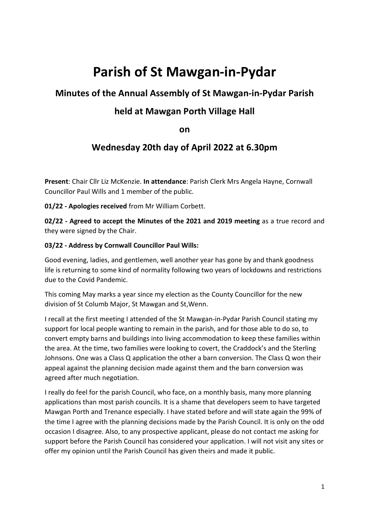# **Parish of St Mawgan-in-Pydar**

# **Minutes of the Annual Assembly of St Mawgan-in-Pydar Parish**

### **held at Mawgan Porth Village Hall**

### **on**

## **Wednesday 20th day of April 2022 at 6.30pm**

**Present**: Chair Cllr Liz McKenzie. **In attendance**: Parish Clerk Mrs Angela Hayne, Cornwall Councillor Paul Wills and 1 member of the public.

**01/22 - Apologies received** from Mr William Corbett.

**02/22 - Agreed to accept the Minutes of the 2021 and 2019 meeting** as a true record and they were signed by the Chair.

#### **03/22 - Address by Cornwall Councillor Paul Wills:**

Good evening, ladies, and gentlemen, well another year has gone by and thank goodness life is returning to some kind of normality following two years of lockdowns and restrictions due to the Covid Pandemic.

This coming May marks a year since my election as the County Councillor for the new division of St Columb Major, St Mawgan and St,Wenn.

I recall at the first meeting I attended of the St Mawgan-in-Pydar Parish Council stating my support for local people wanting to remain in the parish, and for those able to do so, to convert empty barns and buildings into living accommodation to keep these families within the area. At the time, two families were looking to covert, the Craddock's and the Sterling Johnsons. One was a Class Q application the other a barn conversion. The Class Q won their appeal against the planning decision made against them and the barn conversion was agreed after much negotiation.

I really do feel for the parish Council, who face, on a monthly basis, many more planning applications than most parish councils. It is a shame that developers seem to have targeted Mawgan Porth and Trenance especially. I have stated before and will state again the 99% of the time I agree with the planning decisions made by the Parish Council. It is only on the odd occasion I disagree. Also, to any prospective applicant, please do not contact me asking for support before the Parish Council has considered your application. I will not visit any sites or offer my opinion until the Parish Council has given theirs and made it public.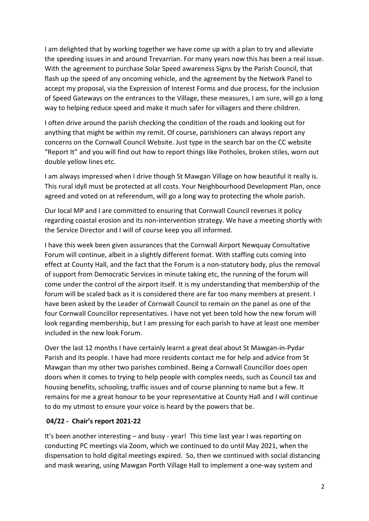I am delighted that by working together we have come up with a plan to try and alleviate the speeding issues in and around Trevarrian. For many years now this has been a real issue. With the agreement to purchase Solar Speed awareness Signs by the Parish Council, that flash up the speed of any oncoming vehicle, and the agreement by the Network Panel to accept my proposal, via the Expression of Interest Forms and due process, for the inclusion of Speed Gateways on the entrances to the Village, these measures, I am sure, will go a long way to helping reduce speed and make it much safer for villagers and there children.

I often drive around the parish checking the condition of the roads and looking out for anything that might be within my remit. Of course, parishioners can always report any concerns on the Cornwall Council Website. Just type in the search bar on the CC website "Report It" and you will find out how to report things like Potholes, broken stiles, worn out double yellow lines etc.

I am always impressed when I drive though St Mawgan Village on how beautiful it really is. This rural idyll must be protected at all costs. Your Neighbourhood Development Plan, once agreed and voted on at referendum, will go a long way to protecting the whole parish.

Our local MP and I are committed to ensuring that Cornwall Council reverses it policy regarding coastal erosion and its non-intervention strategy. We have a meeting shortly with the Service Director and I will of course keep you all informed.

I have this week been given assurances that the Cornwall Airport Newquay Consultative Forum will continue, albeit in a slightly different format. With staffing cuts coming into effect at County Hall, and the fact that the Forum is a non-statutory body, plus the removal of support from Democratic Services in minute taking etc, the running of the forum will come under the control of the airport itself. It is my understanding that membership of the forum will be scaled back as it is considered there are far too many members at present. I have been asked by the Leader of Cornwall Council to remain on the panel as one of the four Cornwall Councillor representatives. I have not yet been told how the new forum will look regarding membership, but I am pressing for each parish to have at least one member included in the new look Forum.

Over the last 12 months I have certainly learnt a great deal about St Mawgan-in-Pydar Parish and its people. I have had more residents contact me for help and advice from St Mawgan than my other two parishes combined. Being a Cornwall Councillor does open doors when it comes to trying to help people with complex needs, such as Council tax and housing benefits, schooling, traffic issues and of course planning to name but a few. It remains for me a great honour to be your representative at County Hall and I will continue to do my utmost to ensure your voice is heard by the powers that be.

### **04/22 - Chair's report 2021-22**

It's been another interesting – and busy - year! This time last year I was reporting on conducting PC meetings via Zoom, which we continued to do until May 2021, when the dispensation to hold digital meetings expired. So, then we continued with social distancing and mask wearing, using Mawgan Porth Village Hall to implement a one-way system and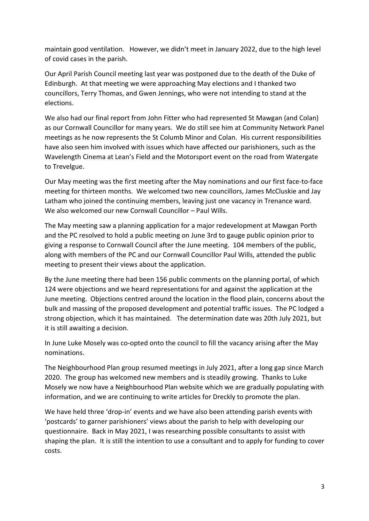maintain good ventilation. However, we didn't meet in January 2022, due to the high level of covid cases in the parish.

Our April Parish Council meeting last year was postponed due to the death of the Duke of Edinburgh. At that meeting we were approaching May elections and I thanked two councillors, Terry Thomas, and Gwen Jennings, who were not intending to stand at the elections.

We also had our final report from John Fitter who had represented St Mawgan (and Colan) as our Cornwall Councillor for many years. We do still see him at Community Network Panel meetings as he now represents the St Columb Minor and Colan. His current responsibilities have also seen him involved with issues which have affected our parishioners, such as the Wavelength Cinema at Lean's Field and the Motorsport event on the road from Watergate to Trevelgue.

Our May meeting was the first meeting after the May nominations and our first face-to-face meeting for thirteen months. We welcomed two new councillors, James McCluskie and Jay Latham who joined the continuing members, leaving just one vacancy in Trenance ward. We also welcomed our new Cornwall Councillor – Paul Wills.

The May meeting saw a planning application for a major redevelopment at Mawgan Porth and the PC resolved to hold a public meeting on June 3rd to gauge public opinion prior to giving a response to Cornwall Council after the June meeting. 104 members of the public, along with members of the PC and our Cornwall Councillor Paul Wills, attended the public meeting to present their views about the application.

By the June meeting there had been 156 public comments on the planning portal, of which 124 were objections and we heard representations for and against the application at the June meeting. Objections centred around the location in the flood plain, concerns about the bulk and massing of the proposed development and potential traffic issues. The PC lodged a strong objection, which it has maintained. The determination date was 20th July 2021, but it is still awaiting a decision.

In June Luke Mosely was co-opted onto the council to fill the vacancy arising after the May nominations.

The Neighbourhood Plan group resumed meetings in July 2021, after a long gap since March 2020. The group has welcomed new members and is steadily growing. Thanks to Luke Mosely we now have a Neighbourhood Plan website which we are gradually populating with information, and we are continuing to write articles for Dreckly to promote the plan.

We have held three 'drop-in' events and we have also been attending parish events with 'postcards' to garner parishioners' views about the parish to help with developing our questionnaire. Back in May 2021, I was researching possible consultants to assist with shaping the plan. It is still the intention to use a consultant and to apply for funding to cover costs.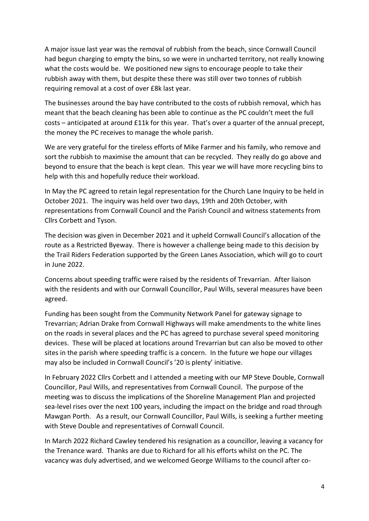A major issue last year was the removal of rubbish from the beach, since Cornwall Council had begun charging to empty the bins, so we were in uncharted territory, not really knowing what the costs would be. We positioned new signs to encourage people to take their rubbish away with them, but despite these there was still over two tonnes of rubbish requiring removal at a cost of over £8k last year.

The businesses around the bay have contributed to the costs of rubbish removal, which has meant that the beach cleaning has been able to continue as the PC couldn't meet the full costs – anticipated at around £11k for this year. That's over a quarter of the annual precept, the money the PC receives to manage the whole parish.

We are very grateful for the tireless efforts of Mike Farmer and his family, who remove and sort the rubbish to maximise the amount that can be recycled. They really do go above and beyond to ensure that the beach is kept clean. This year we will have more recycling bins to help with this and hopefully reduce their workload.

In May the PC agreed to retain legal representation for the Church Lane Inquiry to be held in October 2021. The inquiry was held over two days, 19th and 20th October, with representations from Cornwall Council and the Parish Council and witness statements from Cllrs Corbett and Tyson.

The decision was given in December 2021 and it upheld Cornwall Council's allocation of the route as a Restricted Byeway. There is however a challenge being made to this decision by the Trail Riders Federation supported by the Green Lanes Association, which will go to court in June 2022.

Concerns about speeding traffic were raised by the residents of Trevarrian. After liaison with the residents and with our Cornwall Councillor, Paul Wills, several measures have been agreed.

Funding has been sought from the Community Network Panel for gateway signage to Trevarrian; Adrian Drake from Cornwall Highways will make amendments to the white lines on the roads in several places and the PC has agreed to purchase several speed monitoring devices. These will be placed at locations around Trevarrian but can also be moved to other sites in the parish where speeding traffic is a concern. In the future we hope our villages may also be included in Cornwall Council's '20 is plenty' initiative.

In February 2022 Cllrs Corbett and I attended a meeting with our MP Steve Double, Cornwall Councillor, Paul Wills, and representatives from Cornwall Council. The purpose of the meeting was to discuss the implications of the Shoreline Management Plan and projected sea-level rises over the next 100 years, including the impact on the bridge and road through Mawgan Porth. As a result, our Cornwall Councillor, Paul Wills, is seeking a further meeting with Steve Double and representatives of Cornwall Council.

In March 2022 Richard Cawley tendered his resignation as a councillor, leaving a vacancy for the Trenance ward. Thanks are due to Richard for all his efforts whilst on the PC. The vacancy was duly advertised, and we welcomed George Williams to the council after co